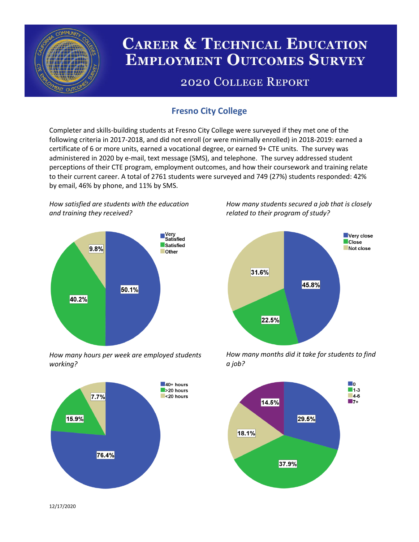

# **CAREER & TECHNICAL EDUCATION EMPLOYMENT OUTCOMES SURVEY**

## **2020 COLLEGE REPORT**

## **Fresno City College**

Completer and skills-building students at Fresno City College were surveyed if they met one of the following criteria in 2017-2018, and did not enroll (or were minimally enrolled) in 2018-2019: earned a certificate of 6 or more units, earned a vocational degree, or earned 9+ CTE units. The survey was administered in 2020 by e-mail, text message (SMS), and telephone. The survey addressed student perceptions of their CTE program, employment outcomes, and how their coursework and training relate to their current career. A total of 2761 students were surveyed and 749 (27%) students responded: 42% by email, 46% by phone, and 11% by SMS.

*How satisfied are students with the education and training they received?*



*How many hours per week are employed students working?*



*How many students secured a job that is closely related to their program of study?*



*How many months did it take for students to find a job?*



12/17/2020